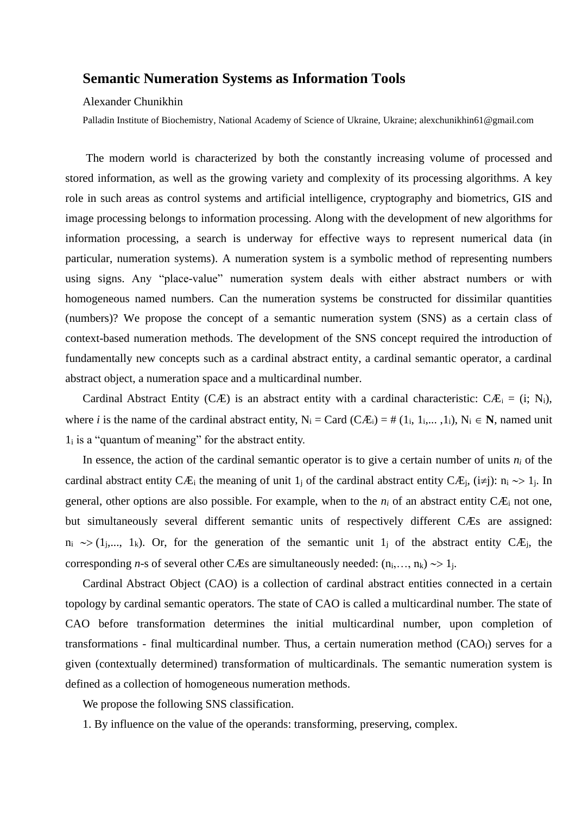## **Semantic Numeration Systems as Information Tools**

## Alexander Chunikhin

Palladin Institute of Biochemistry, National Academy of Science of Ukraine, Ukraine; alexchunikhin61@gmail.com

The modern world is characterized by both the constantly increasing volume of processed and stored information, as well as the growing variety and complexity of its processing algorithms. A key role in such areas as control systems and artificial intelligence, cryptography and biometrics, GIS and image processing belongs to information processing. Along with the development of new algorithms for information processing, a search is underway for effective ways to represent numerical data (in particular, numeration systems). A numeration system is a symbolic method of representing numbers using signs. Any "place-value" numeration system deals with either abstract numbers or with homogeneous named numbers. Can the numeration systems be constructed for dissimilar quantities (numbers)? We propose the concept of a semantic numeration system (SNS) as a certain class of context-based numeration methods. The development of the SNS concept required the introduction of fundamentally new concepts such as a cardinal abstract entity, a cardinal semantic operator, a cardinal abstract object, a numeration space and a multicardinal number.

Cardinal Abstract Entity (CÆ) is an abstract entity with a cardinal characteristic: CÆ<sub>i</sub> = (i; N<sub>i</sub>), where *i* is the name of the cardinal abstract entity,  $N_i = \text{Card } (C \mathcal{A}_{i}) = \# (1_i, 1_i, \ldots, 1_i), N_i \in \mathbb{N}$ , named unit  $1<sub>i</sub>$  is a "quantum of meaning" for the abstract entity.

In essence, the action of the cardinal semantic operator is to give a certain number of units  $n_i$  of the cardinal abstract entity CÆ<sub>i</sub> the meaning of unit 1<sub>j</sub> of the cardinal abstract entity CÆ<sub>i</sub>, (i≠j): n<sub>i</sub>  $\sim$  1<sub>j</sub>. In general, other options are also possible. For example, when to the  $n_i$  of an abstract entity  $C\mathcal{F}_i$  not one, but simultaneously several different semantic units of respectively different CÆs are assigned:  $n_i \rightarrow (1_j,..., 1_k)$ . Or, for the generation of the semantic unit  $1_j$  of the abstract entity CÆ<sub>j</sub>, the corresponding *n*-s of several other CÆs are simultaneously needed:  $(n_i, ..., n_k) \rightarrow 1_j$ .

Cardinal Abstract Object (CAO) is a collection of cardinal abstract entities connected in a certain topology by cardinal semantic operators. The state of CAO is called a multicardinal number. The state of CAO before transformation determines the initial multicardinal number, upon completion of transformations - final multicardinal number. Thus, a certain numeration method  $(CAO<sub>I</sub>)$  serves for a given (contextually determined) transformation of multicardinals. The semantic numeration system is defined as a collection of homogeneous numeration methods.

We propose the following SNS classification.

1. By influence on the value of the operands: transforming, preserving, complex.